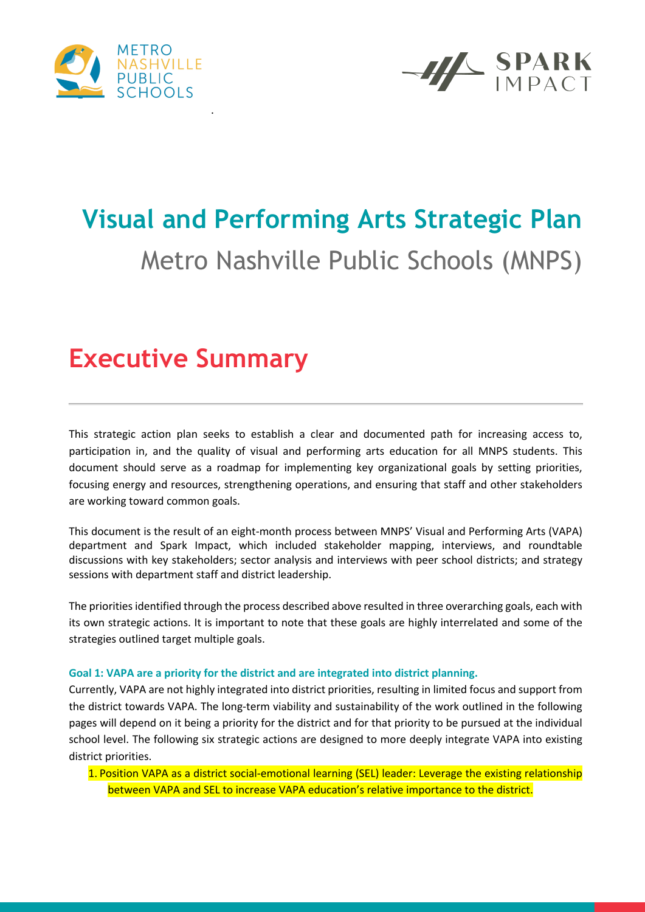



# **Visual and Performing Arts Strategic Plan** Metro Nashville Public Schools (MNPS)

### **Executive Summary**

This strategic action plan seeks to establish a clear and documented path for increasing access to, participation in, and the quality of visual and performing arts education for all MNPS students. This document should serve as a roadmap for implementing key organizational goals by setting priorities, focusing energy and resources, strengthening operations, and ensuring that staff and other stakeholders are working toward common goals.

This document is the result of an eight-month process between MNPS' Visual and Performing Arts (VAPA) department and Spark Impact, which included stakeholder mapping, interviews, and roundtable discussions with key stakeholders; sector analysis and interviews with peer school districts; and strategy sessions with department staff and district leadership.

The priorities identified through the process described above resulted in three overarching goals, each with its own strategic actions. It is important to note that these goals are highly interrelated and some of the strategies outlined target multiple goals.

#### **Goal 1: VAPA are a priority for the district and are integrated into district planning.**

Currently, VAPA are not highly integrated into district priorities, resulting in limited focus and support from the district towards VAPA. The long-term viability and sustainability of the work outlined in the following pages will depend on it being a priority for the district and for that priority to be pursued at the individual school level. The following six strategic actions are designed to more deeply integrate VAPA into existing district priorities.

1. Position VAPA as a district social-emotional learning (SEL) leader: Leverage the existing relationship between VAPA and SEL to increase VAPA education's relative importance to the district.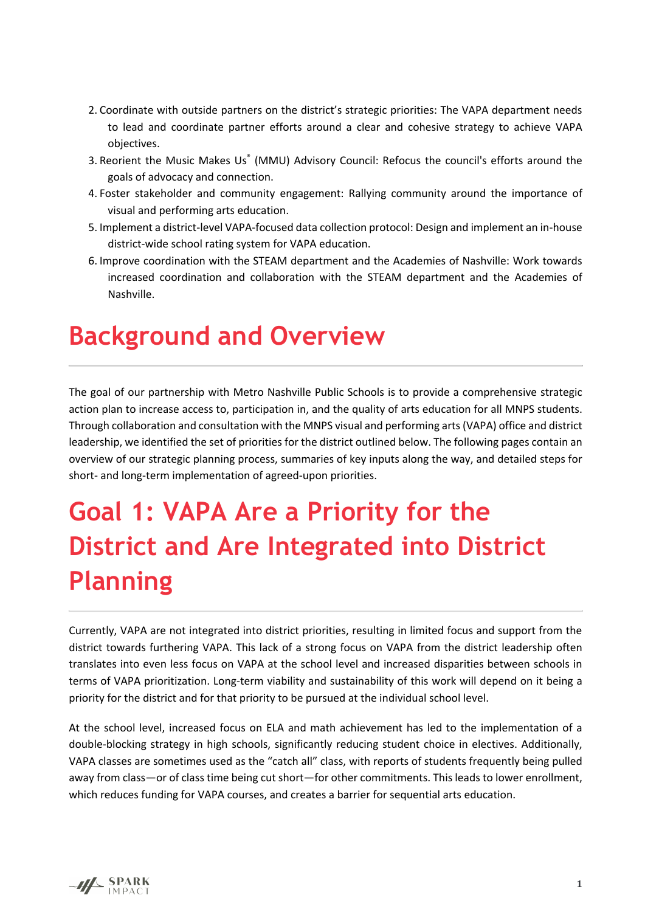- 2. Coordinate with outside partners on the district's strategic priorities: The VAPA department needs to lead and coordinate partner efforts around a clear and cohesive strategy to achieve VAPA objectives.
- 3. Reorient the Music Makes Us® (MMU) Advisory Council: Refocus the council's efforts around the goals of advocacy and connection.
- 4. Foster stakeholder and community engagement: Rallying community around the importance of visual and performing arts education.
- 5. Implement a district-level VAPA-focused data collection protocol: Design and implement an in-house district-wide school rating system for VAPA education.
- 6. Improve coordination with the STEAM department and the Academies of Nashville: Work towards increased coordination and collaboration with the STEAM department and the Academies of Nashville.

### **Background and Overview**

The goal of our partnership with Metro Nashville Public Schools is to provide a comprehensive strategic action plan to increase access to, participation in, and the quality of arts education for all MNPS students. Through collaboration and consultation with the MNPS visual and performing arts (VAPA) office and district leadership, we identified the set of priorities for the district outlined below. The following pages contain an overview of our strategic planning process, summaries of key inputs along the way, and detailed steps for short- and long-term implementation of agreed-upon priorities.

# **Goal 1: VAPA Are a Priority for the District and Are Integrated into District Planning**

Currently, VAPA are not integrated into district priorities, resulting in limited focus and support from the district towards furthering VAPA. This lack of a strong focus on VAPA from the district leadership often translates into even less focus on VAPA at the school level and increased disparities between schools in terms of VAPA prioritization. Long-term viability and sustainability of this work will depend on it being a priority for the district and for that priority to be pursued at the individual school level.

At the school level, increased focus on ELA and math achievement has led to the implementation of a double-blocking strategy in high schools, significantly reducing student choice in electives. Additionally, VAPA classes are sometimes used as the "catch all" class, with reports of students frequently being pulled away from class—or of class time being cut short—for other commitments. This leads to lower enrollment, which reduces funding for VAPA courses, and creates a barrier for sequential arts education.

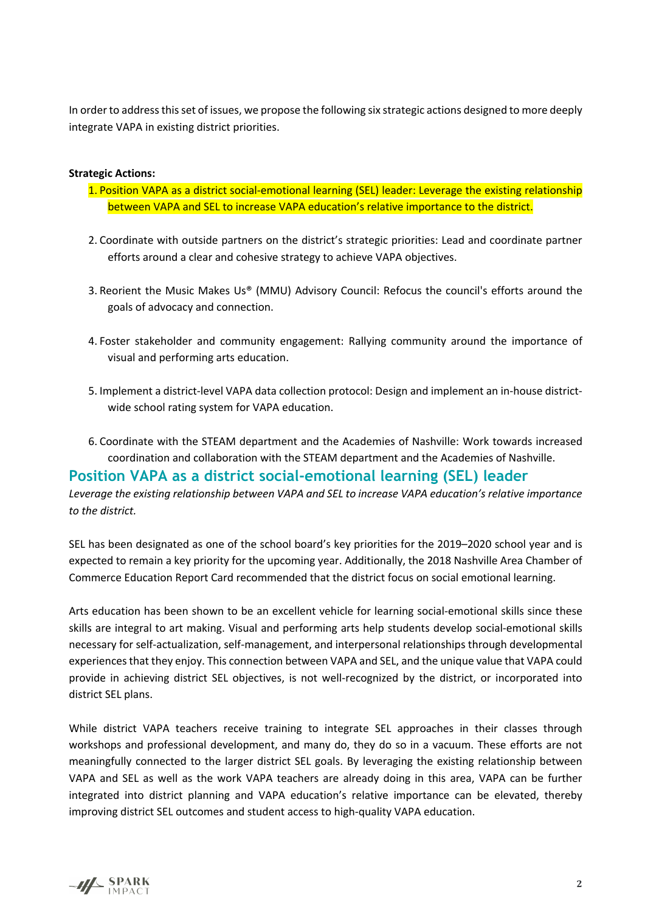In order to address this set of issues, we propose the following six strategic actions designed to more deeply integrate VAPA in existing district priorities.

#### **Strategic Actions:**

- 1. Position VAPA as a district social-emotional learning (SEL) leader: Leverage the existing relationship between VAPA and SEL to increase VAPA education's relative importance to the district.
- 2. Coordinate with outside partners on the district's strategic priorities: Lead and coordinate partner efforts around a clear and cohesive strategy to achieve VAPA objectives.
- 3. Reorient the Music Makes Us® (MMU) Advisory Council: Refocus the council's efforts around the goals of advocacy and connection.
- 4. Foster stakeholder and community engagement: Rallying community around the importance of visual and performing arts education.
- 5. Implement a district-level VAPA data collection protocol: Design and implement an in-house districtwide school rating system for VAPA education.
- 6. Coordinate with the STEAM department and the Academies of Nashville: Work towards increased coordination and collaboration with the STEAM department and the Academies of Nashville.

#### **Position VAPA as a district social-emotional learning (SEL) leader**

*Leverage the existing relationship between VAPA and SEL to increase VAPA education's relative importance to the district.* 

SEL has been designated as one of the school board's key priorities for the 2019–2020 school year and is expected to remain a key priority for the upcoming year. Additionally, the 2018 Nashville Area Chamber of Commerce Education Report Card recommended that the district focus on social emotional learning.

Arts education has been shown to be an excellent vehicle for learning social-emotional skills since these skills are integral to art making. Visual and performing arts help students develop social-emotional skills necessary for self-actualization, self-management, and interpersonal relationships through developmental experiences that they enjoy. This connection between VAPA and SEL, and the unique value that VAPA could provide in achieving district SEL objectives, is not well-recognized by the district, or incorporated into district SEL plans.

While district VAPA teachers receive training to integrate SEL approaches in their classes through workshops and professional development, and many do, they do so in a vacuum. These efforts are not meaningfully connected to the larger district SEL goals. By leveraging the existing relationship between VAPA and SEL as well as the work VAPA teachers are already doing in this area, VAPA can be further integrated into district planning and VAPA education's relative importance can be elevated, thereby improving district SEL outcomes and student access to high-quality VAPA education.

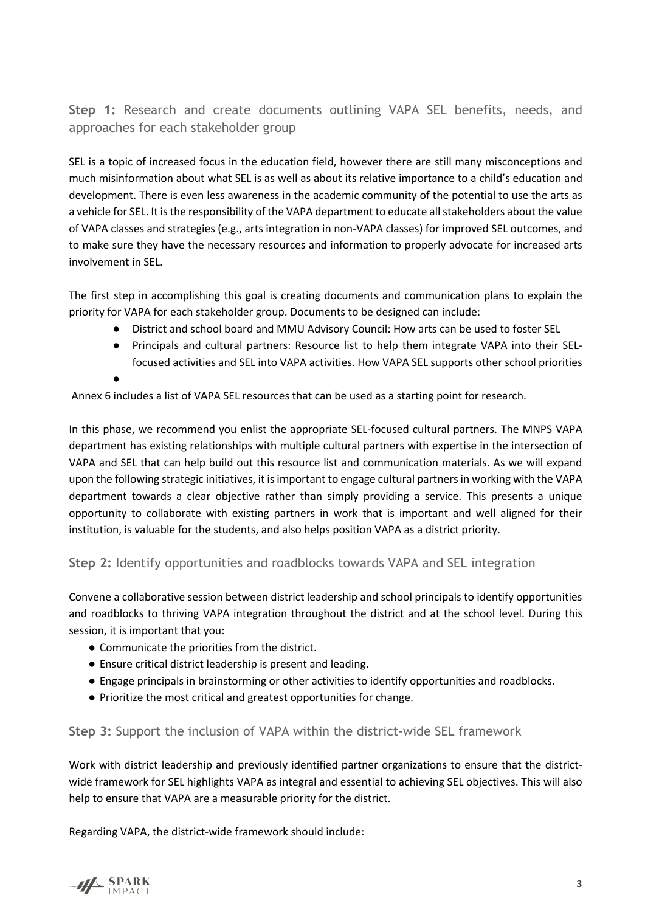**Step 1:** Research and create documents outlining VAPA SEL benefits, needs, and approaches for each stakeholder group

SEL is a topic of increased focus in the education field, however there are still many misconceptions and much misinformation about what SEL is as well as about its relative importance to a child's education and development. There is even less awareness in the academic community of the potential to use the arts as a vehicle for SEL. It is the responsibility of the VAPA department to educate all stakeholders about the value of VAPA classes and strategies (e.g., arts integration in non-VAPA classes) for improved SEL outcomes, and to make sure they have the necessary resources and information to properly advocate for increased arts involvement in SEL.

The first step in accomplishing this goal is creating documents and communication plans to explain the priority for VAPA for each stakeholder group. Documents to be designed can include:

- District and school board and MMU Advisory Council: How arts can be used to foster SEL
- Principals and cultural partners: Resource list to help them integrate VAPA into their SELfocused activities and SEL into VAPA activities. How VAPA SEL supports other school priorities

●

Annex 6 includes a list of VAPA SEL resources that can be used as a starting point for research.

In this phase, we recommend you enlist the appropriate SEL-focused cultural partners. The MNPS VAPA department has existing relationships with multiple cultural partners with expertise in the intersection of VAPA and SEL that can help build out this resource list and communication materials. As we will expand upon the following strategic initiatives, it is important to engage cultural partners in working with the VAPA department towards a clear objective rather than simply providing a service. This presents a unique opportunity to collaborate with existing partners in work that is important and well aligned for their institution, is valuable for the students, and also helps position VAPA as a district priority.

#### **Step 2:** Identify opportunities and roadblocks towards VAPA and SEL integration

Convene a collaborative session between district leadership and school principals to identify opportunities and roadblocks to thriving VAPA integration throughout the district and at the school level. During this session, it is important that you:

- Communicate the priorities from the district.
- Ensure critical district leadership is present and leading.
- Engage principals in brainstorming or other activities to identify opportunities and roadblocks.
- Prioritize the most critical and greatest opportunities for change.

#### **Step 3:** Support the inclusion of VAPA within the district-wide SEL framework

Work with district leadership and previously identified partner organizations to ensure that the districtwide framework for SEL highlights VAPA as integral and essential to achieving SEL objectives. This will also help to ensure that VAPA are a measurable priority for the district.

Regarding VAPA, the district-wide framework should include:

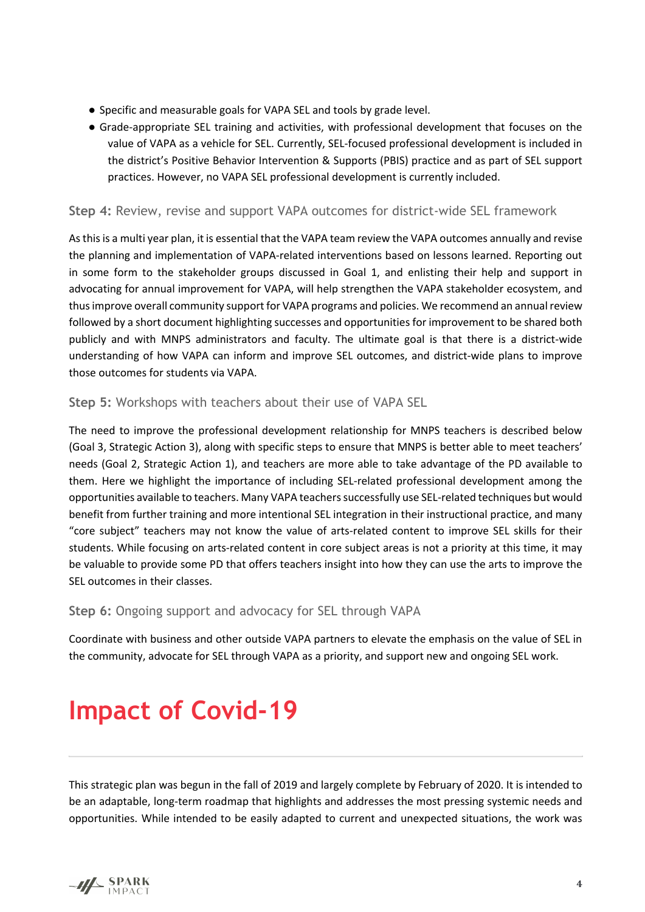- Specific and measurable goals for VAPA SEL and tools by grade level.
- Grade-appropriate SEL training and activities, with professional development that focuses on the value of VAPA as a vehicle for SEL. Currently, SEL-focused professional development is included in the district's Positive Behavior Intervention & Supports (PBIS) practice and as part of SEL support practices. However, no VAPA SEL professional development is currently included.

#### **Step 4:** Review, revise and support VAPA outcomes for district-wide SEL framework

As this is a multi year plan, it is essential that the VAPA team review the VAPA outcomes annually and revise the planning and implementation of VAPA-related interventions based on lessons learned. Reporting out in some form to the stakeholder groups discussed in Goal 1, and enlisting their help and support in advocating for annual improvement for VAPA, will help strengthen the VAPA stakeholder ecosystem, and thus improve overall community support for VAPA programs and policies. We recommend an annual review followed by a short document highlighting successes and opportunities for improvement to be shared both publicly and with MNPS administrators and faculty. The ultimate goal is that there is a district-wide understanding of how VAPA can inform and improve SEL outcomes, and district-wide plans to improve those outcomes for students via VAPA.

#### **Step 5:** Workshops with teachers about their use of VAPA SEL

The need to improve the professional development relationship for MNPS teachers is described below (Goal 3, Strategic Action 3), along with specific steps to ensure that MNPS is better able to meet teachers' needs (Goal 2, Strategic Action 1), and teachers are more able to take advantage of the PD available to them. Here we highlight the importance of including SEL-related professional development among the opportunities available to teachers. Many VAPA teachers successfully use SEL-related techniques but would benefit from further training and more intentional SEL integration in their instructional practice, and many "core subject" teachers may not know the value of arts-related content to improve SEL skills for their students. While focusing on arts-related content in core subject areas is not a priority at this time, it may be valuable to provide some PD that offers teachers insight into how they can use the arts to improve the SEL outcomes in their classes.

**Step 6:** Ongoing support and advocacy for SEL through VAPA

Coordinate with business and other outside VAPA partners to elevate the emphasis on the value of SEL in the community, advocate for SEL through VAPA as a priority, and support new and ongoing SEL work.

### **Impact of Covid-19**

This strategic plan was begun in the fall of 2019 and largely complete by February of 2020. It is intended to be an adaptable, long-term roadmap that highlights and addresses the most pressing systemic needs and opportunities. While intended to be easily adapted to current and unexpected situations, the work was

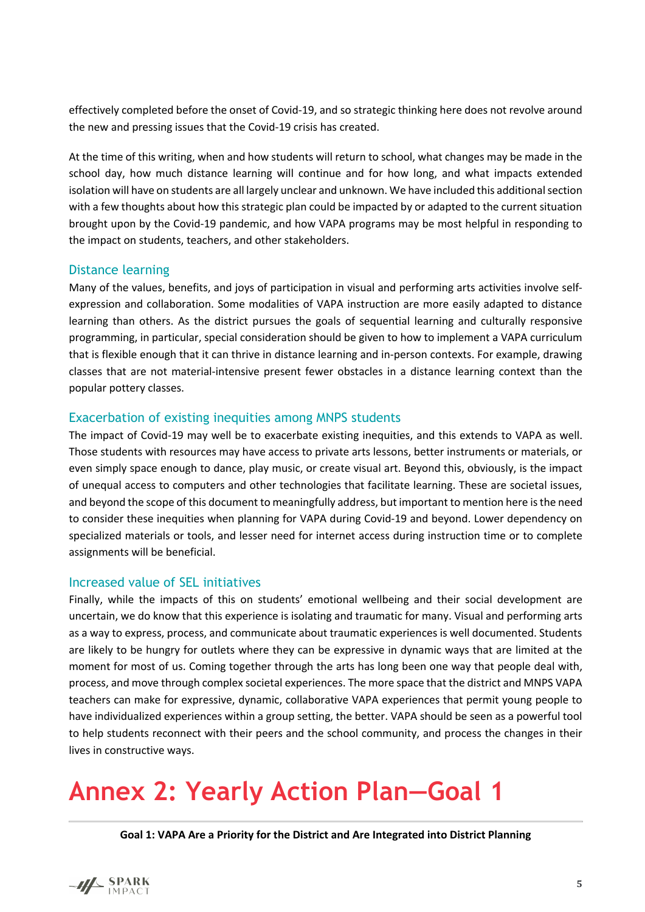effectively completed before the onset of Covid-19, and so strategic thinking here does not revolve around the new and pressing issues that the Covid-19 crisis has created.

At the time of this writing, when and how students will return to school, what changes may be made in the school day, how much distance learning will continue and for how long, and what impacts extended isolation will have on students are all largely unclear and unknown. We have included this additional section with a few thoughts about how this strategic plan could be impacted by or adapted to the current situation brought upon by the Covid-19 pandemic, and how VAPA programs may be most helpful in responding to the impact on students, teachers, and other stakeholders.

#### Distance learning

Many of the values, benefits, and joys of participation in visual and performing arts activities involve selfexpression and collaboration. Some modalities of VAPA instruction are more easily adapted to distance learning than others. As the district pursues the goals of sequential learning and culturally responsive programming, in particular, special consideration should be given to how to implement a VAPA curriculum that is flexible enough that it can thrive in distance learning and in-person contexts. For example, drawing classes that are not material-intensive present fewer obstacles in a distance learning context than the popular pottery classes.

#### Exacerbation of existing inequities among MNPS students

The impact of Covid-19 may well be to exacerbate existing inequities, and this extends to VAPA as well. Those students with resources may have access to private arts lessons, better instruments or materials, or even simply space enough to dance, play music, or create visual art. Beyond this, obviously, is the impact of unequal access to computers and other technologies that facilitate learning. These are societal issues, and beyond the scope of this document to meaningfully address, but important to mention here is the need to consider these inequities when planning for VAPA during Covid-19 and beyond. Lower dependency on specialized materials or tools, and lesser need for internet access during instruction time or to complete assignments will be beneficial.

#### Increased value of SEL initiatives

Finally, while the impacts of this on students' emotional wellbeing and their social development are uncertain, we do know that this experience is isolating and traumatic for many. Visual and performing arts as a way to express, process, and communicate about traumatic experiences is well documented. Students are likely to be hungry for outlets where they can be expressive in dynamic ways that are limited at the moment for most of us. Coming together through the arts has long been one way that people deal with, process, and move through complex societal experiences. The more space that the district and MNPS VAPA teachers can make for expressive, dynamic, collaborative VAPA experiences that permit young people to have individualized experiences within a group setting, the better. VAPA should be seen as a powerful tool to help students reconnect with their peers and the school community, and process the changes in their lives in constructive ways.

### **Annex 2: Yearly Action Plan—Goal 1**

**Goal 1: VAPA Are a Priority for the District and Are Integrated into District Planning**

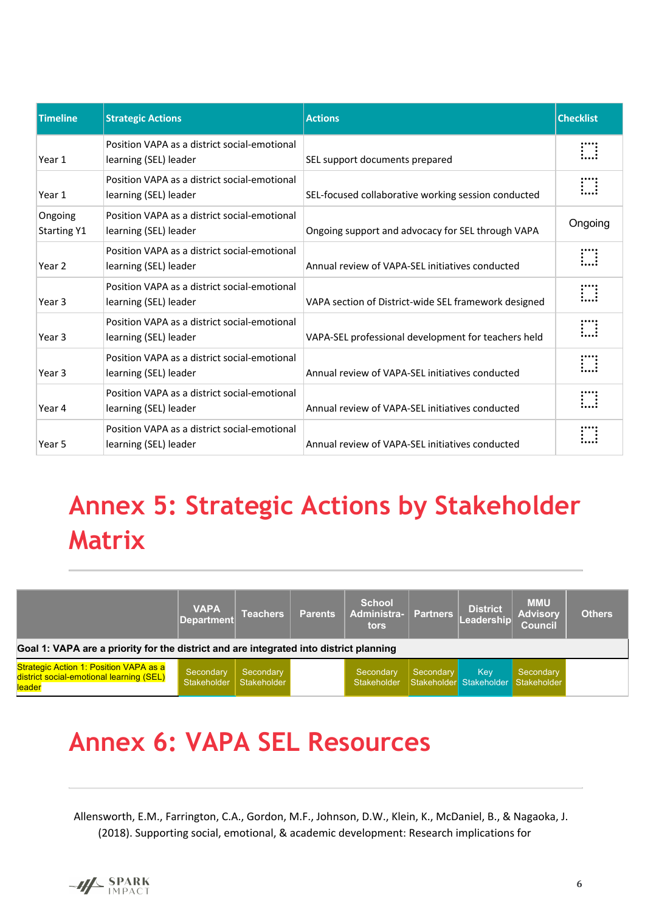| <b>Timeline</b>               | <b>Strategic Actions</b>                                              | <b>Actions</b>                                       | <b>Checklist</b>  |
|-------------------------------|-----------------------------------------------------------------------|------------------------------------------------------|-------------------|
| Year 1                        | Position VAPA as a district social-emotional<br>learning (SEL) leader | SEL support documents prepared                       | $\vdots$          |
| Year 1                        | Position VAPA as a district social-emotional<br>learning (SEL) leader | SEL-focused collaborative working session conducted  | $\prod_{i=1}^{n}$ |
| Ongoing<br><b>Starting Y1</b> | Position VAPA as a district social-emotional<br>learning (SEL) leader | Ongoing support and advocacy for SEL through VAPA    | Ongoing           |
| Year 2                        | Position VAPA as a district social-emotional<br>learning (SEL) leader | Annual review of VAPA-SEL initiatives conducted      | $\ddot{}$         |
| Year 3                        | Position VAPA as a district social-emotional<br>learning (SEL) leader | VAPA section of District-wide SEL framework designed | $\prod_{i=1}^{n}$ |
| Year 3                        | Position VAPA as a district social-emotional<br>learning (SEL) leader | VAPA-SEL professional development for teachers held  | $\prod_{i=1}^{n}$ |
| Year 3                        | Position VAPA as a district social-emotional<br>learning (SEL) leader | Annual review of VAPA-SEL initiatives conducted      | $\prod_{i=1}^{n}$ |
| Year 4                        | Position VAPA as a district social-emotional<br>learning (SEL) leader | Annual review of VAPA-SEL initiatives conducted      | $\prod_{i=1}^{n}$ |
| Year 5                        | Position VAPA as a district social-emotional<br>learning (SEL) leader | Annual review of VAPA-SEL initiatives conducted      | $\vdots$          |

## **Annex 5: Strategic Actions by Stakeholder Matrix**

|                                                                                                     | <b>VAPA</b><br>Department       | <b>Teachers</b>          | <b>Parents</b> | <b>School</b><br>Administra-<br>tors | <b>Partners</b> | <b>District</b><br>Leadership  | <b>MMU</b><br><b>Advisory</b><br><b>Council</b> | <b>Others</b> |  |  |  |  |
|-----------------------------------------------------------------------------------------------------|---------------------------------|--------------------------|----------------|--------------------------------------|-----------------|--------------------------------|-------------------------------------------------|---------------|--|--|--|--|
| Goal 1: VAPA are a priority for the district and are integrated into district planning              |                                 |                          |                |                                      |                 |                                |                                                 |               |  |  |  |  |
| <b>Strategic Action 1: Position VAPA as a</b><br>district social-emotional learning (SEL)<br>leader | Secondary<br><b>Stakeholder</b> | Secondary<br>Stakeholder |                | Secondary<br>Stakeholder             | Secondary       | Kev<br>Stakeholder Stakeholder | Secondary<br>Stakeholder                        |               |  |  |  |  |

### **Annex 6: VAPA SEL Resources**

Allensworth, E.M., Farrington, C.A., Gordon, M.F., Johnson, D.W., Klein, K., McDaniel, B., & Nagaoka, J. (2018). Supporting social, emotional, & academic development: Research implications for